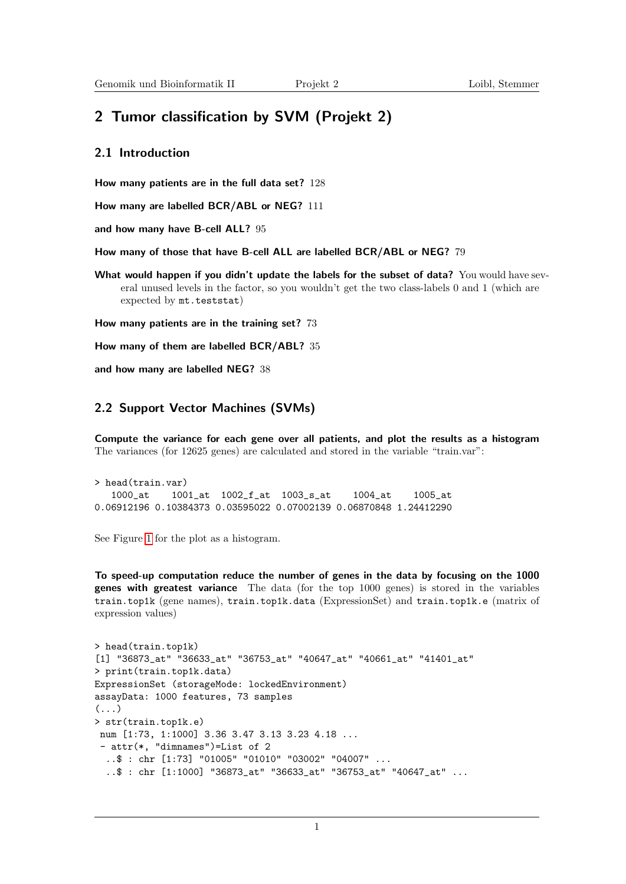# 2 Tumor classification by SVM (Projekt 2)

# 2.1 Introduction

How many patients are in the full data set? 128

How many are labelled BCR/ABL or NEG? 111

and how many have B-cell ALL? 95

How many of those that have B-cell ALL are labelled BCR/ABL or NEG? 79

What would happen if you didn't update the labels for the subset of data? You would have several unused levels in the factor, so you wouldn't get the two class-labels 0 and 1 (which are expected by mt.teststat)

How many patients are in the training set? 73

How many of them are labelled BCR/ABL? 35

and how many are labelled NEG? 38

## 2.2 Support Vector Machines (SVMs)

Compute the variance for each gene over all patients, and plot the results as a histogram The variances (for 12625 genes) are calculated and stored in the variable "train.var":

```
> head(train.var)
  1000_at 1001_at 1002_f_at 1003_s_at 1004_at 1005_at
0.06912196 0.10384373 0.03595022 0.07002139 0.06870848 1.24412290
```
See Figure [1](#page-1-0) for the plot as a histogram.

To speed-up computation reduce the number of genes in the data by focusing on the 1000 genes with greatest variance The data (for the top 1000 genes) is stored in the variables train.top1k (gene names), train.top1k.data (ExpressionSet) and train.top1k.e (matrix of expression values)

```
> head(train.top1k)
[1] "36873_at" "36633_at" "36753_at" "40647_at" "40661_at" "41401_at"
> print(train.top1k.data)
ExpressionSet (storageMode: lockedEnvironment)
assayData: 1000 features, 73 samples
(\ldots)> str(train.top1k.e)
num [1:73, 1:1000] 3.36 3.47 3.13 3.23 4.18 ...
 - attr(*, "dimnames")=List of 2
  ..$ : chr [1:73] "01005" "01010" "03002" "04007" ...
  ..$ : chr [1:1000] "36873_at" "36633_at" "36753_at" "40647_at" ...
```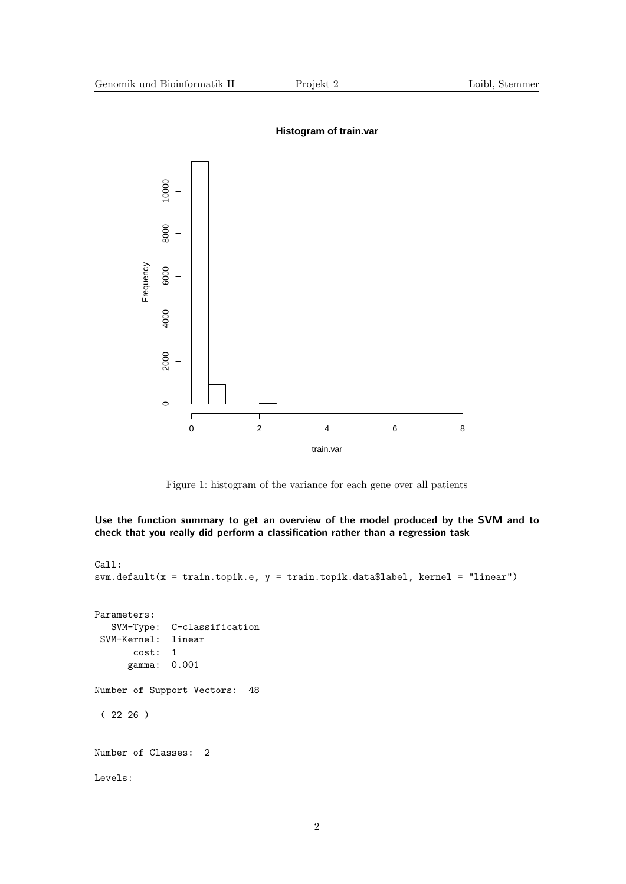

#### **Histogram of train.var**

<span id="page-1-0"></span>Figure 1: histogram of the variance for each gene over all patients

Use the function summary to get an overview of the model produced by the SVM and to check that you really did perform a classification rather than a regression task

```
Call:
svm.default(x = train.tophk.e, y = train.tophk.data$label, kernel = "linear")Parameters:
  SVM-Type: C-classification
SVM-Kernel: linear
      cost: 1
      gamma: 0.001
Number of Support Vectors: 48
 ( 22 26 )
Number of Classes: 2
Levels:
```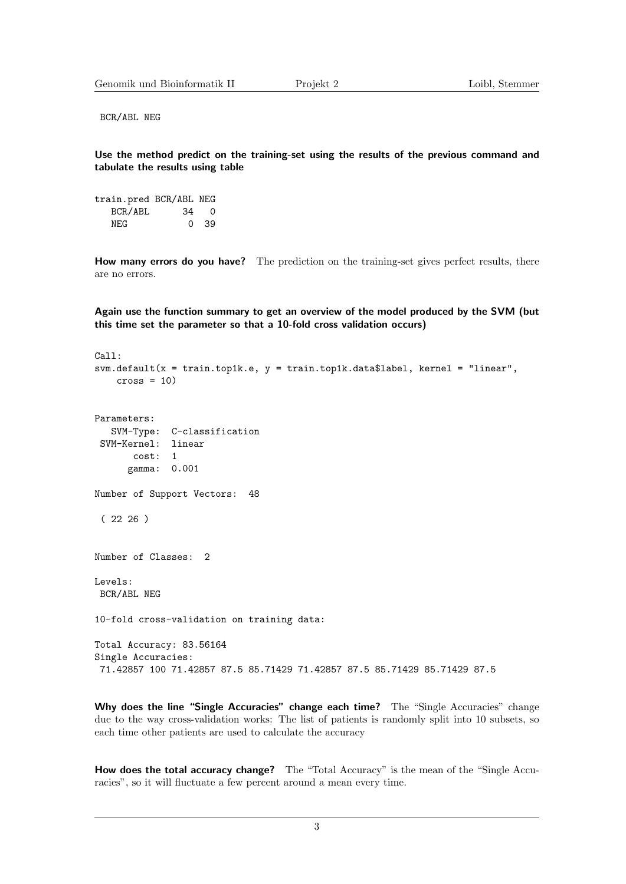BCR/ABL NEG

Use the method predict on the training-set using the results of the previous command and tabulate the results using table

train.pred BCR/ABL NEG BCR/ABL 34 0 NEG 0 39

How many errors do you have? The prediction on the training-set gives perfect results, there are no errors.

Again use the function summary to get an overview of the model produced by the SVM (but this time set the parameter so that a 10-fold cross validation occurs)

```
Call:
svm.default(x = train.top1k.e, y = train.top1k.data$label, kernel = "linear",cross = 10Parameters:
  SVM-Type: C-classification
SVM-Kernel: linear
      cost: 1
     gamma: 0.001
Number of Support Vectors: 48
 (2226)Number of Classes: 2
Levels:
BCR/ABL NEG
10-fold cross-validation on training data:
Total Accuracy: 83.56164
Single Accuracies:
71.42857 100 71.42857 87.5 85.71429 71.42857 87.5 85.71429 85.71429 87.5
```
Why does the line "Single Accuracies" change each time? The "Single Accuracies" change due to the way cross-validation works: The list of patients is randomly split into 10 subsets, so each time other patients are used to calculate the accuracy

How does the total accuracy change? The "Total Accuracy" is the mean of the "Single Accuracies", so it will fluctuate a few percent around a mean every time.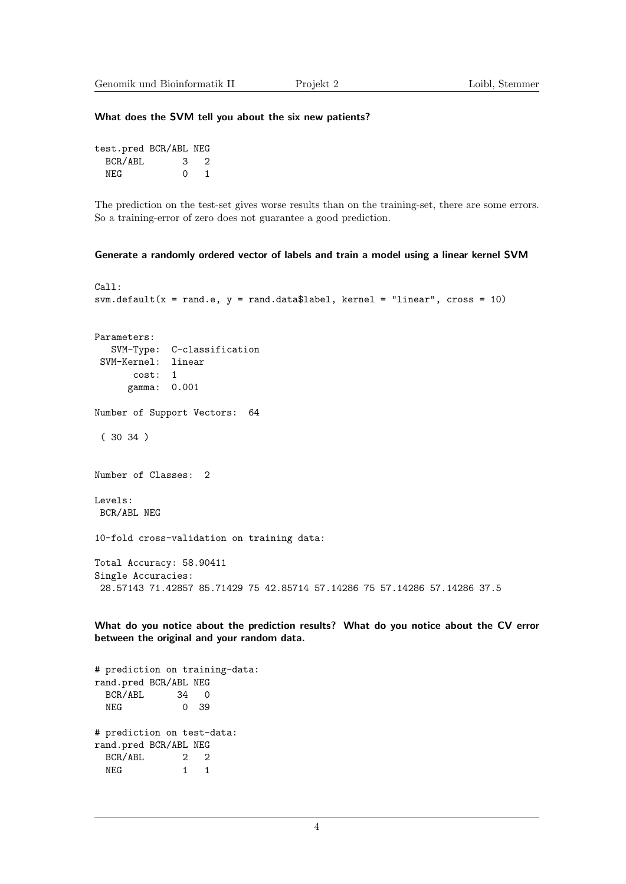#### What does the SVM tell you about the six new patients?

| test.pred BCR/ABL NEG |          |     |
|-----------------------|----------|-----|
| BCR/ABL               | 3        | - 2 |
| NF.G                  | $\Omega$ | 1   |

The prediction on the test-set gives worse results than on the training-set, there are some errors. So a training-error of zero does not guarantee a good prediction.

#### Generate a randomly ordered vector of labels and train a model using a linear kernel SVM

```
Ca11:svm.default(x = rand.e, y = rand.data$label, kernel = "linear", cross = 10)Parameters:
  SVM-Type: C-classification
 SVM-Kernel: linear
      cost: 1
      gamma: 0.001
Number of Support Vectors: 64
 ( 30 34 )
Number of Classes: 2
Levels:
BCR/ABL NEG
10-fold cross-validation on training data:
Total Accuracy: 58.90411
Single Accuracies:
 28.57143 71.42857 85.71429 75 42.85714 57.14286 75 57.14286 57.14286 37.5
```
What do you notice about the prediction results? What do you notice about the CV error between the original and your random data.

# prediction on training-data: rand.pred BCR/ABL NEG BCR/ABL 34 0 NEG 0 39 # prediction on test-data: rand.pred BCR/ABL NEG BCR/ABL 2 2 NEG 1 1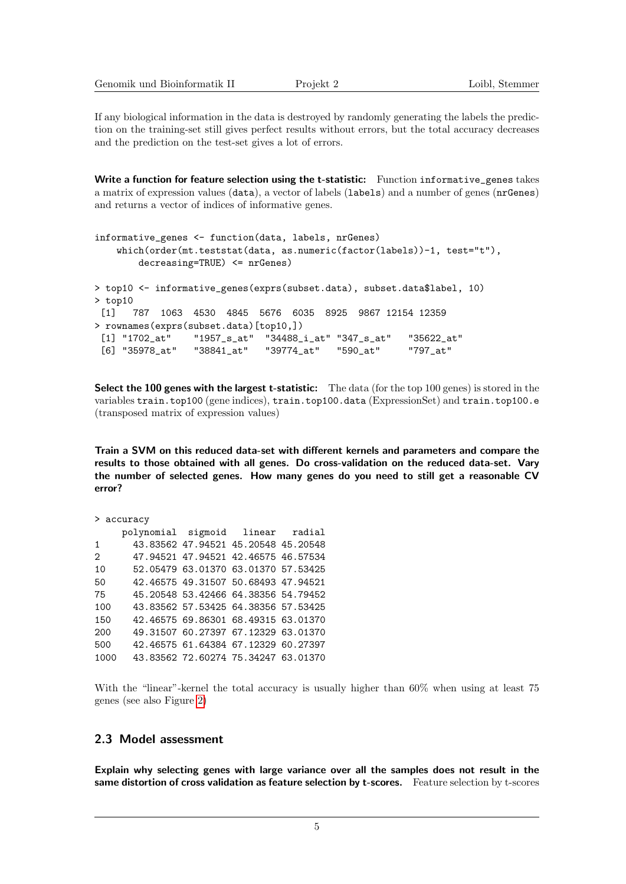| Genomik und Bioinformatik II | Projekt 2 | Loibl. Stemmer |
|------------------------------|-----------|----------------|
|------------------------------|-----------|----------------|

If any biological information in the data is destroyed by randomly generating the labels the prediction on the training-set still gives perfect results without errors, but the total accuracy decreases and the prediction on the test-set gives a lot of errors.

Write a function for feature selection using the t-statistic: Function informative\_genes takes a matrix of expression values (data), a vector of labels (labels) and a number of genes (nrGenes) and returns a vector of indices of informative genes.

```
informative_genes <- function(data, labels, nrGenes)
   which(order(mt.teststat(data, as.numeric(factor(labels))-1, test="t"),
       decreasing=TRUE) <= nrGenes)
> top10 <- informative_genes(exprs(subset.data), subset.data$label, 10)
> top10
 [1] 787 1063 4530 4845 5676 6035 8925 9867 12154 12359
> rownames(exprs(subset.data)[top10,])
 [1] "1702_at" "1957_s_at" "34488_i_at" "347_s_at" "35622_at"
 [6] "35978_at" "38841_at" "39774_at" "590_at" "797_at"
```
Select the 100 genes with the largest t-statistic: The data (for the top 100 genes) is stored in the variables train.top100 (gene indices), train.top100.data (ExpressionSet) and train.top100.e (transposed matrix of expression values)

Train a SVM on this reduced data-set with different kernels and parameters and compare the results to those obtained with all genes. Do cross-validation on the reduced data-set. Vary the number of selected genes. How many genes do you need to still get a reasonable CV error?

```
> accuracy
    polynomial sigmoid linear radial
1 43.83562 47.94521 45.20548 45.20548
2 47.94521 47.94521 42.46575 46.57534
10 52.05479 63.01370 63.01370 57.53425
50 42.46575 49.31507 50.68493 47.94521
75 45.20548 53.42466 64.38356 54.79452
100 43.83562 57.53425 64.38356 57.53425
150 42.46575 69.86301 68.49315 63.01370
200 49.31507 60.27397 67.12329 63.01370
500 42.46575 61.64384 67.12329 60.27397
1000 43.83562 72.60274 75.34247 63.01370
```
With the "linear"-kernel the total accuracy is usually higher than  $60\%$  when using at least 75 genes (see also Figure [2\)](#page-5-0)

## 2.3 Model assessment

Explain why selecting genes with large variance over all the samples does not result in the same distortion of cross validation as feature selection by t-scores. Feature selection by t-scores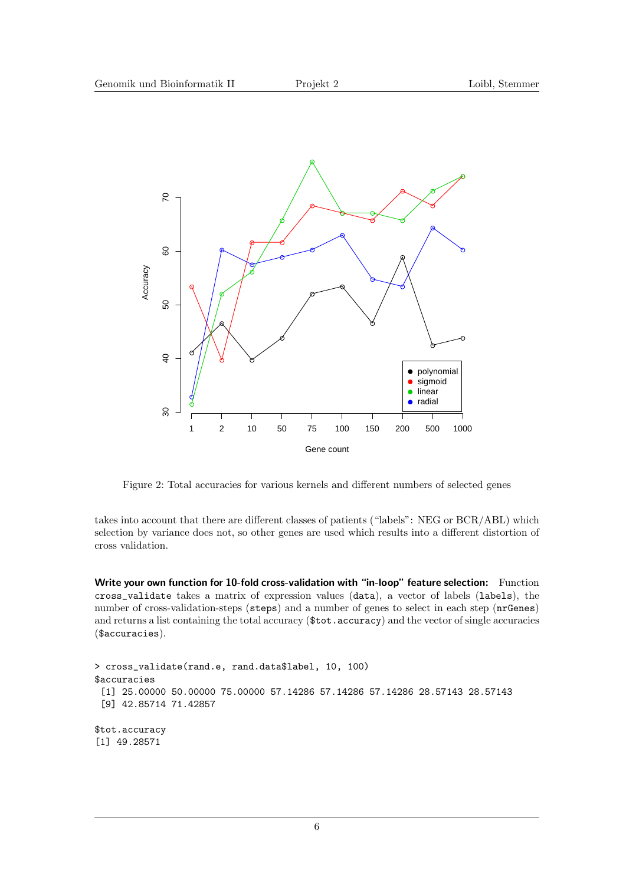

<span id="page-5-0"></span>Figure 2: Total accuracies for various kernels and different numbers of selected genes

takes into account that there are different classes of patients ("labels": NEG or BCR/ABL) which selection by variance does not, so other genes are used which results into a different distortion of cross validation.

Write your own function for 10-fold cross-validation with "in-loop" feature selection: Function cross\_validate takes a matrix of expression values (data), a vector of labels (labels), the number of cross-validation-steps (steps) and a number of genes to select in each step (nrGenes) and returns a list containing the total accuracy ( $\text{\textsterling tot}$ . accuracy) and the vector of single accuracies (\$accuracies).

```
> cross_validate(rand.e, rand.data$label, 10, 100)
$accuracies
 [1] 25.00000 50.00000 75.00000 57.14286 57.14286 57.14286 28.57143 28.57143
 [9] 42.85714 71.42857
$tot.accuracy
[1] 49.28571
```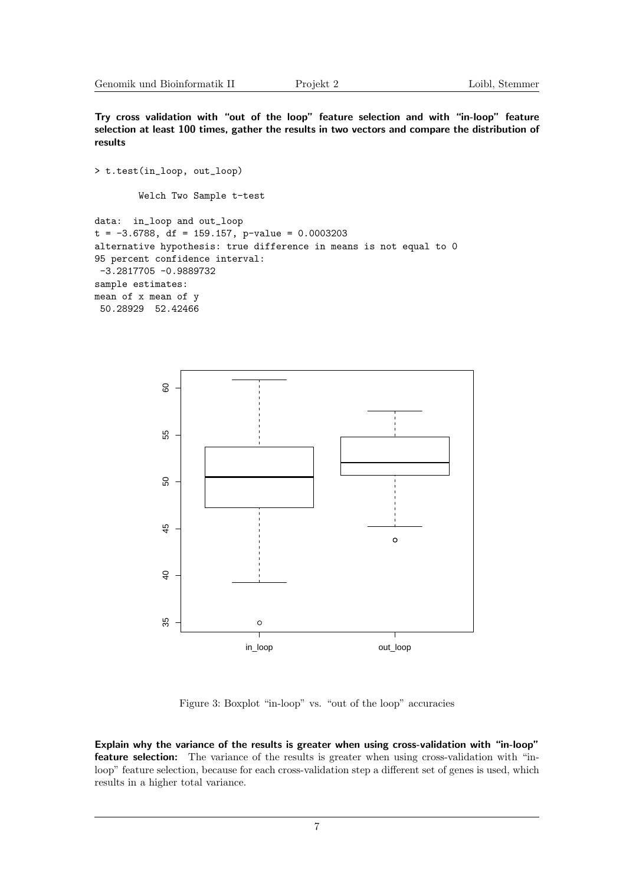Try cross validation with "out of the loop" feature selection and with "in-loop" feature selection at least 100 times, gather the results in two vectors and compare the distribution of results

```
> t.test(in_loop, out_loop)
        Welch Two Sample t-test
data: in_loop and out_loop
t = -3.6788, df = 159.157, p-value = 0.0003203
alternative hypothesis: true difference in means is not equal to 0
95 percent confidence interval:
 -3.2817705 -0.9889732
sample estimates:
mean of x mean of y
 50.28929 52.42466
```


Figure 3: Boxplot "in-loop" vs. "out of the loop" accuracies

Explain why the variance of the results is greater when using cross-validation with "in-loop" feature selection: The variance of the results is greater when using cross-validation with "inloop" feature selection, because for each cross-validation step a different set of genes is used, which results in a higher total variance.